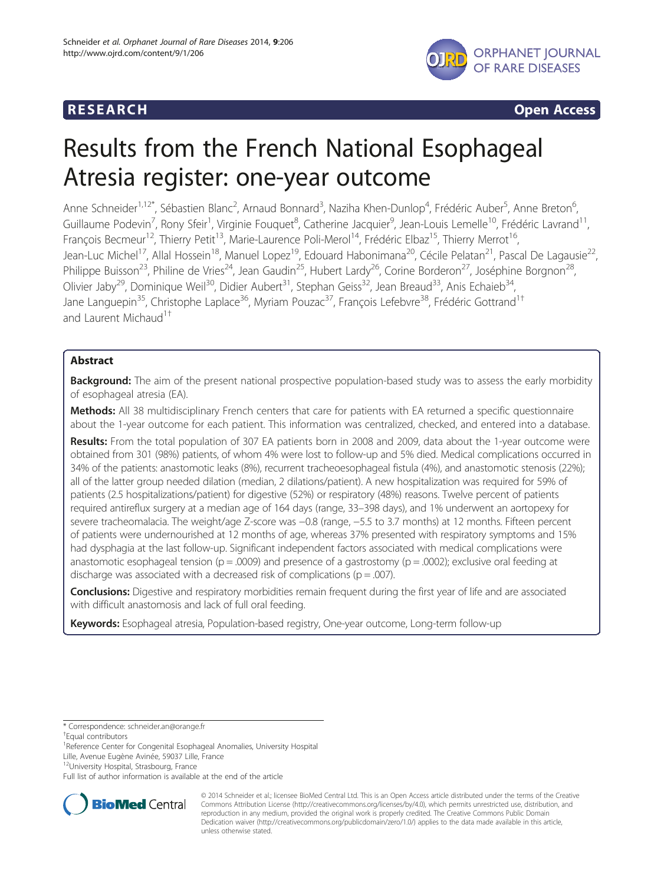

**RESEARCH RESEARCH CONSUMING ACCESS** 

# Results from the French National Esophageal Atresia register: one-year outcome

Anne Schneider<sup>1,12\*</sup>, Sébastien Blanc<sup>2</sup>, Arnaud Bonnard<sup>3</sup>, Naziha Khen-Dunlop<sup>4</sup>, Frédéric Auber<sup>5</sup>, Anne Breton<sup>6</sup> , Guillaume Podevin<sup>7</sup>, Rony Sfeir<sup>1</sup>, Virginie Fouquet<sup>8</sup>, Catherine Jacquier<sup>9</sup>, Jean-Louis Lemelle<sup>10</sup>, Frédéric Lavrand<sup>11</sup>, François Becmeur<sup>12</sup>, Thierry Petit<sup>13</sup>, Marie-Laurence Poli-Merol<sup>14</sup>, Frédéric Elbaz<sup>15</sup>, Thierry Merrot<sup>16</sup>, Jean-Luc Michel<sup>17</sup>, Allal Hossein<sup>18</sup>, Manuel Lopez<sup>19</sup>, Edouard Habonimana<sup>20</sup>, Cécile Pelatan<sup>21</sup>, Pascal De Lagausie<sup>22</sup>, Philippe Buisson<sup>23</sup>, Philine de Vries<sup>24</sup>, Jean Gaudin<sup>25</sup>, Hubert Lardy<sup>26</sup>, Corine Borderon<sup>27</sup>, Joséphine Borgnon<sup>28</sup>, Olivier Jaby<sup>29</sup>, Dominique Weil<sup>30</sup>, Didier Aubert<sup>31</sup>, Stephan Geiss<sup>32</sup>, Jean Breaud<sup>33</sup>, Anis Echaieb<sup>34</sup>, Jane Languepin<sup>35</sup>, Christophe Laplace<sup>36</sup>, Myriam Pouzac<sup>37</sup>, François Lefebvre<sup>38</sup>, Frédéric Gottrand<sup>1†</sup> and Laurent Michaud<sup>11</sup>

# Abstract

Background: The aim of the present national prospective population-based study was to assess the early morbidity of esophageal atresia (EA).

Methods: All 38 multidisciplinary French centers that care for patients with EA returned a specific questionnaire about the 1-year outcome for each patient. This information was centralized, checked, and entered into a database.

Results: From the total population of 307 EA patients born in 2008 and 2009, data about the 1-year outcome were obtained from 301 (98%) patients, of whom 4% were lost to follow-up and 5% died. Medical complications occurred in 34% of the patients: anastomotic leaks (8%), recurrent tracheoesophageal fistula (4%), and anastomotic stenosis (22%); all of the latter group needed dilation (median, 2 dilations/patient). A new hospitalization was required for 59% of patients (2.5 hospitalizations/patient) for digestive (52%) or respiratory (48%) reasons. Twelve percent of patients required antireflux surgery at a median age of 164 days (range, 33–398 days), and 1% underwent an aortopexy for severe tracheomalacia. The weight/age Z-score was -0.8 (range, -5.5 to 3.7 months) at 12 months. Fifteen percent of patients were undernourished at 12 months of age, whereas 37% presented with respiratory symptoms and 15% had dysphagia at the last follow-up. Significant independent factors associated with medical complications were anastomotic esophageal tension (p = .0009) and presence of a gastrostomy (p = .0002); exclusive oral feeding at discharge was associated with a decreased risk of complications ( $p = .007$ ).

Conclusions: Digestive and respiratory morbidities remain frequent during the first year of life and are associated with difficult anastomosis and lack of full oral feeding.

Keywords: Esophageal atresia, Population-based registry, One-year outcome, Long-term follow-up

Equal contributors

<sup>12</sup>University Hospital, Strasbourg, France

Full list of author information is available at the end of the article



© 2014 Schneider et al.; licensee BioMed Central Ltd. This is an Open Access article distributed under the terms of the Creative Commons Attribution License [\(http://creativecommons.org/licenses/by/4.0\)](http://creativecommons.org/licenses/by/4.0), which permits unrestricted use, distribution, and reproduction in any medium, provided the original work is properly credited. The Creative Commons Public Domain Dedication waiver [\(http://creativecommons.org/publicdomain/zero/1.0/](http://creativecommons.org/publicdomain/zero/1.0/)) applies to the data made available in this article, unless otherwise stated.

<sup>\*</sup> Correspondence: [schneider.an@orange.fr](mailto:schneider.an@orange.fr) †

<sup>&</sup>lt;sup>1</sup>Reference Center for Congenital Esophageal Anomalies, University Hospital Lille, Avenue Eugène Avinée, 59037 Lille, France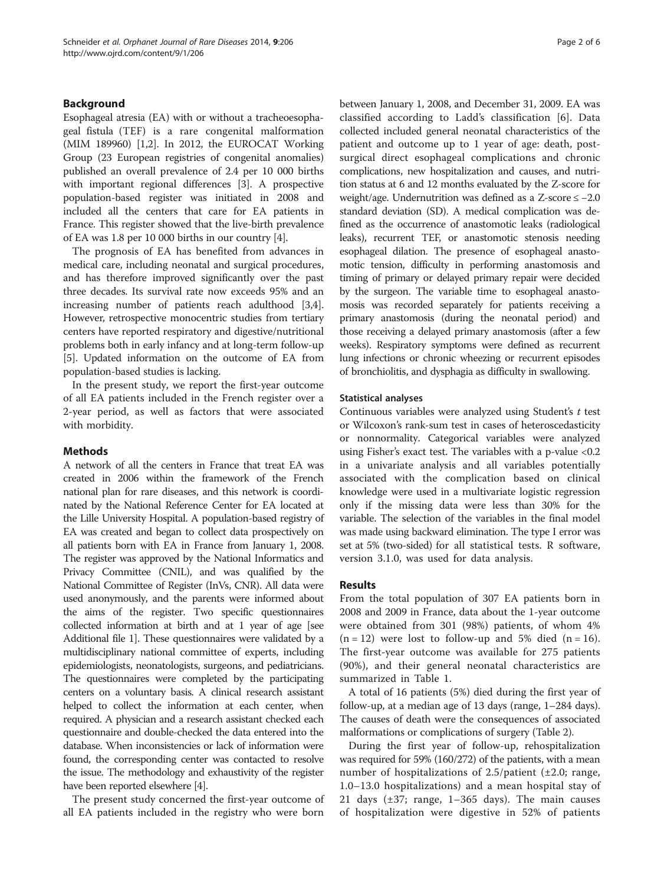# Background

Esophageal atresia (EA) with or without a tracheoesophageal fistula (TEF) is a rare congenital malformation (MIM 189960) [[1,2](#page-4-0)]. In 2012, the EUROCAT Working Group (23 European registries of congenital anomalies) published an overall prevalence of 2.4 per 10 000 births with important regional differences [\[3](#page-4-0)]. A prospective population-based register was initiated in 2008 and included all the centers that care for EA patients in France. This register showed that the live-birth prevalence of EA was 1.8 per 10 000 births in our country [\[4](#page-4-0)].

The prognosis of EA has benefited from advances in medical care, including neonatal and surgical procedures, and has therefore improved significantly over the past three decades. Its survival rate now exceeds 95% and an increasing number of patients reach adulthood [[3](#page-4-0),[4](#page-4-0)]. However, retrospective monocentric studies from tertiary centers have reported respiratory and digestive/nutritional problems both in early infancy and at long-term follow-up [[5\]](#page-4-0). Updated information on the outcome of EA from population-based studies is lacking.

In the present study, we report the first-year outcome of all EA patients included in the French register over a 2-year period, as well as factors that were associated with morbidity.

## Methods

A network of all the centers in France that treat EA was created in 2006 within the framework of the French national plan for rare diseases, and this network is coordinated by the National Reference Center for EA located at the Lille University Hospital. A population-based registry of EA was created and began to collect data prospectively on all patients born with EA in France from January 1, 2008. The register was approved by the National Informatics and Privacy Committee (CNIL), and was qualified by the National Committee of Register (InVs, CNR). All data were used anonymously, and the parents were informed about the aims of the register. Two specific questionnaires collected information at birth and at 1 year of age [see Additional file [1](#page-4-0)]. These questionnaires were validated by a multidisciplinary national committee of experts, including epidemiologists, neonatologists, surgeons, and pediatricians. The questionnaires were completed by the participating centers on a voluntary basis. A clinical research assistant helped to collect the information at each center, when required. A physician and a research assistant checked each questionnaire and double-checked the data entered into the database. When inconsistencies or lack of information were found, the corresponding center was contacted to resolve the issue. The methodology and exhaustivity of the register have been reported elsewhere [\[4\]](#page-4-0).

The present study concerned the first-year outcome of all EA patients included in the registry who were born between January 1, 2008, and December 31, 2009. EA was classified according to Ladd's classification [[6\]](#page-4-0). Data collected included general neonatal characteristics of the patient and outcome up to 1 year of age: death, postsurgical direct esophageal complications and chronic complications, new hospitalization and causes, and nutrition status at 6 and 12 months evaluated by the Z-score for weight/age. Undernutrition was defined as a Z-score ≤ −2.0 standard deviation (SD). A medical complication was defined as the occurrence of anastomotic leaks (radiological leaks), recurrent TEF, or anastomotic stenosis needing esophageal dilation. The presence of esophageal anastomotic tension, difficulty in performing anastomosis and timing of primary or delayed primary repair were decided by the surgeon. The variable time to esophageal anastomosis was recorded separately for patients receiving a primary anastomosis (during the neonatal period) and those receiving a delayed primary anastomosis (after a few weeks). Respiratory symptoms were defined as recurrent lung infections or chronic wheezing or recurrent episodes of bronchiolitis, and dysphagia as difficulty in swallowing.

#### Statistical analyses

Continuous variables were analyzed using Student's t test or Wilcoxon's rank-sum test in cases of heteroscedasticity or nonnormality. Categorical variables were analyzed using Fisher's exact test. The variables with a p-value <0.2 in a univariate analysis and all variables potentially associated with the complication based on clinical knowledge were used in a multivariate logistic regression only if the missing data were less than 30% for the variable. The selection of the variables in the final model was made using backward elimination. The type I error was set at 5% (two-sided) for all statistical tests. R software, version 3.1.0, was used for data analysis.

### Results

From the total population of 307 EA patients born in 2008 and 2009 in France, data about the 1-year outcome were obtained from 301 (98%) patients, of whom 4%  $(n = 12)$  were lost to follow-up and 5% died  $(n = 16)$ . The first-year outcome was available for 275 patients (90%), and their general neonatal characteristics are summarized in Table [1](#page-2-0).

A total of 16 patients (5%) died during the first year of follow-up, at a median age of 13 days (range, 1–284 days). The causes of death were the consequences of associated malformations or complications of surgery (Table [2\)](#page-2-0).

During the first year of follow-up, rehospitalization was required for 59% (160/272) of the patients, with a mean number of hospitalizations of 2.5/patient  $(\pm 2.0; \text{ range},$ 1.0–13.0 hospitalizations) and a mean hospital stay of 21 days (±37; range, 1–365 days). The main causes of hospitalization were digestive in 52% of patients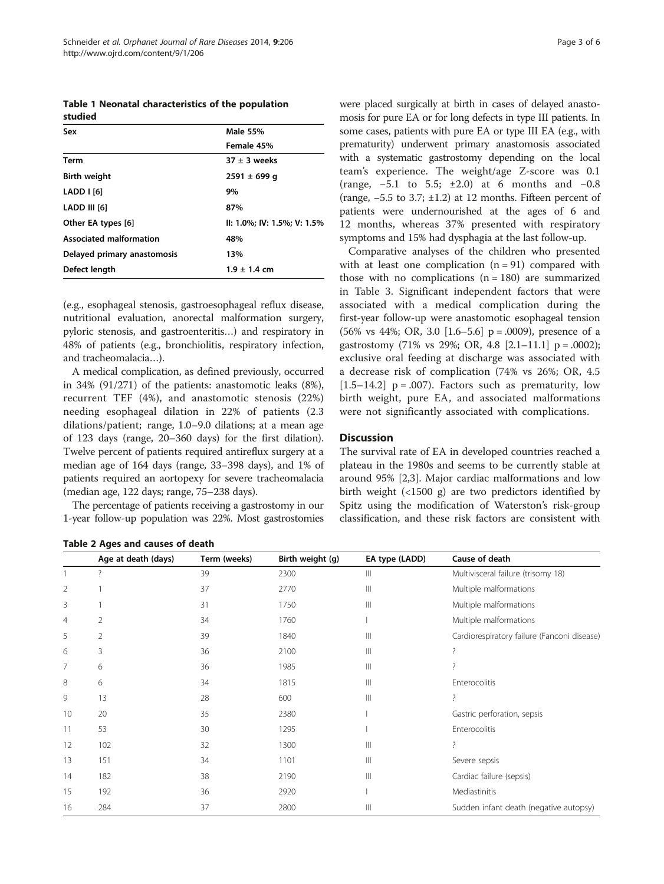<span id="page-2-0"></span>Table 1 Neonatal characteristics of the population studied

| Sex                            | Male 55%                    |  |  |
|--------------------------------|-----------------------------|--|--|
|                                | Female 45%                  |  |  |
| Term                           | $37 + 3$ weeks              |  |  |
| <b>Birth weight</b>            | $2591 \pm 699$ q            |  |  |
| LADD $\mid$ [6]                | 9%                          |  |  |
| <b>LADD III [6]</b>            | 87%                         |  |  |
| Other EA types [6]             | II: 1.0%; IV: 1.5%; V: 1.5% |  |  |
| <b>Associated malformation</b> | 48%                         |  |  |
| Delayed primary anastomosis    | 13%                         |  |  |
| Defect length                  | $1.9 \pm 1.4$ cm            |  |  |

(e.g., esophageal stenosis, gastroesophageal reflux disease, nutritional evaluation, anorectal malformation surgery, pyloric stenosis, and gastroenteritis…) and respiratory in 48% of patients (e.g., bronchiolitis, respiratory infection, and tracheomalacia…).

A medical complication, as defined previously, occurred in 34% (91/271) of the patients: anastomotic leaks (8%), recurrent TEF (4%), and anastomotic stenosis (22%) needing esophageal dilation in 22% of patients (2.3 dilations/patient; range, 1.0–9.0 dilations; at a mean age of 123 days (range, 20–360 days) for the first dilation). Twelve percent of patients required antireflux surgery at a median age of 164 days (range, 33–398 days), and 1% of patients required an aortopexy for severe tracheomalacia (median age, 122 days; range, 75–238 days).

The percentage of patients receiving a gastrostomy in our 1-year follow-up population was 22%. Most gastrostomies

Table 2 Ages and causes of death

were placed surgically at birth in cases of delayed anastomosis for pure EA or for long defects in type III patients. In some cases, patients with pure EA or type III EA (e.g., with prematurity) underwent primary anastomosis associated with a systematic gastrostomy depending on the local team's experience. The weight/age Z-score was 0.1 (range, −5.1 to 5.5; ±2.0) at 6 months and −0.8 (range, −5.5 to 3.7; ±1.2) at 12 months. Fifteen percent of patients were undernourished at the ages of 6 and 12 months, whereas 37% presented with respiratory symptoms and 15% had dysphagia at the last follow-up.

Comparative analyses of the children who presented with at least one complication  $(n = 91)$  compared with those with no complications  $(n = 180)$  are summarized in Table [3.](#page-3-0) Significant independent factors that were associated with a medical complication during the first-year follow-up were anastomotic esophageal tension (56% vs 44%; OR, 3.0  $[1.6-5.6]$  p = .0009), presence of a gastrostomy  $(71\% \text{ vs } 29\%; \text{ OR, } 4.8 [2.1-11.1] \text{ p} = .0002);$ exclusive oral feeding at discharge was associated with a decrease risk of complication (74% vs 26%; OR, 4.5  $[1.5-14.2]$  p = .007). Factors such as prematurity, low birth weight, pure EA, and associated malformations were not significantly associated with complications.

# **Discussion**

The survival rate of EA in developed countries reached a plateau in the 1980s and seems to be currently stable at around 95% [[2,3\]](#page-4-0). Major cardiac malformations and low birth weight (<1500 g) are two predictors identified by Spitz using the modification of Waterston's risk-group classification, and these risk factors are consistent with

|                | Age at death (days) | Term (weeks) | Birth weight (g) | EA type (LADD)                                  | Cause of death                              |  |
|----------------|---------------------|--------------|------------------|-------------------------------------------------|---------------------------------------------|--|
|                | 7                   | 39           | 2300             | $\mathbb{H}$                                    | Multivisceral failure (trisomy 18)          |  |
| 2              |                     | 37           | 2770             | $\mathop{\rm III}$                              | Multiple malformations                      |  |
| 3              |                     | 31           | 1750             | $\  \, \ $                                      | Multiple malformations                      |  |
| $\overline{4}$ | 2                   | 34           | 1760             |                                                 | Multiple malformations                      |  |
| 5              | 2                   | 39           | 1840             | $\mathop{\rm III}$                              | Cardiorespiratory failure (Fanconi disease) |  |
| 6              | 3                   | 36           | 2100             | $\  \, \ $                                      | ?                                           |  |
| 7              | 6                   | 36           | 1985             | $\  \, \ $                                      | 7                                           |  |
| 8              | 6                   | 34           | 1815             | $\mathbb{H}$                                    | Enterocolitis                               |  |
| 9              | 13                  | 28           | 600              | $\mathsf{III}$                                  | $\overline{\phantom{a}}$                    |  |
| 10             | 20                  | 35           | 2380             |                                                 | Gastric perforation, sepsis                 |  |
| 11             | 53                  | 30           | 1295             |                                                 | Enterocolitis                               |  |
| 12             | 102                 | 32           | 1300             | $\mathbb{H}$                                    | ?                                           |  |
| 13             | 151                 | 34           | 1101             | $\mathbf{III}$                                  | Severe sepsis                               |  |
| 14             | 182                 | 38           | 2190             | $\mathbb{H}$                                    | Cardiac failure (sepsis)                    |  |
| 15             | 192                 | 36           | 2920             |                                                 | Mediastinitis                               |  |
| 16             | 284                 | 37           | 2800             | $\left\vert \right\vert \left\vert \right\vert$ | Sudden infant death (negative autopsy)      |  |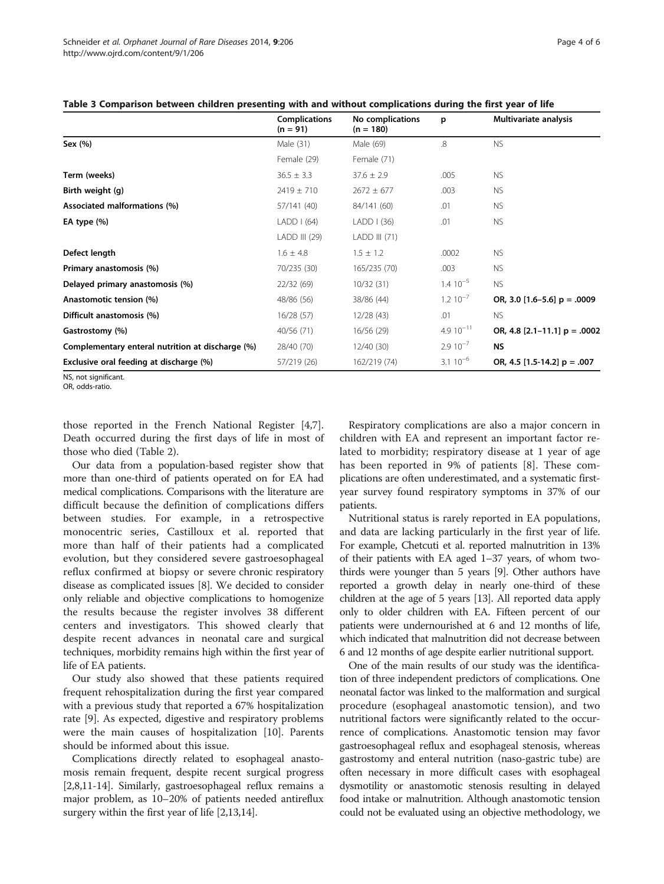|                                                  | <b>Complications</b><br>$(n = 91)$ | No complications<br>$(n = 180)$ | p                | Multivariate analysis          |
|--------------------------------------------------|------------------------------------|---------------------------------|------------------|--------------------------------|
| Sex (%)                                          | Male (31)                          | Male (69)                       | 8.               | <b>NS</b>                      |
|                                                  | Female (29)                        | Female (71)                     |                  |                                |
| Term (weeks)                                     | $36.5 \pm 3.3$                     | $37.6 \pm 2.9$                  | .005             | <b>NS</b>                      |
| Birth weight (g)                                 | $2419 \pm 710$                     | $2672 \pm 677$                  | .003             | <b>NS</b>                      |
| Associated malformations (%)                     | 57/141 (40)                        | 84/141 (60)                     | .01              | <b>NS</b>                      |
| EA type $(\%)$                                   | $LADD$ (64)                        | $LADD$ (36)                     | .01              | <b>NS</b>                      |
|                                                  | LADD III (29)                      | LADD III (71)                   |                  |                                |
| Defect length                                    | $1.6 \pm 4.8$                      | $1.5 \pm 1.2$                   | .0002            | <b>NS</b>                      |
| Primary anastomosis (%)                          | 70/235 (30)                        | 165/235 (70)                    | .003             | <b>NS</b>                      |
| Delayed primary anastomosis (%)                  | 22/32 (69)                         | 10/32(31)                       | $1.4~10^{-5}$    | <b>NS</b>                      |
| Anastomotic tension (%)                          | 48/86 (56)                         | 38/86 (44)                      | $1.2 \, 10^{-7}$ | OR, 3.0 [1.6–5.6] $p = .0009$  |
| Difficult anastomosis (%)                        | 16/28(57)                          | 12/28(43)                       | .01              | <b>NS</b>                      |
| Gastrostomy (%)                                  | 40/56 (71)                         | 16/56 (29)                      | $4.910^{-11}$    | OR, 4.8 $[2.1-11.1]$ p = .0002 |
| Complementary enteral nutrition at discharge (%) | 28/40 (70)                         | 12/40(30)                       | $2.910^{-7}$     | <b>NS</b>                      |
| Exclusive oral feeding at discharge (%)          | 57/219 (26)                        | 162/219 (74)                    | $3.1 \, 10^{-6}$ | OR, 4.5 [1.5-14.2] $p = .007$  |

<span id="page-3-0"></span>

| Table 3 Comparison between children presenting with and without complications during the first year of life |  |  |  |
|-------------------------------------------------------------------------------------------------------------|--|--|--|
|-------------------------------------------------------------------------------------------------------------|--|--|--|

NS, not significant.

OR, odds-ratio.

those reported in the French National Register [\[4,7](#page-4-0)]. Death occurred during the first days of life in most of those who died (Table [2](#page-2-0)).

Our data from a population-based register show that more than one-third of patients operated on for EA had medical complications. Comparisons with the literature are difficult because the definition of complications differs between studies. For example, in a retrospective monocentric series, Castilloux et al. reported that more than half of their patients had a complicated evolution, but they considered severe gastroesophageal reflux confirmed at biopsy or severe chronic respiratory disease as complicated issues [[8](#page-4-0)]. We decided to consider only reliable and objective complications to homogenize the results because the register involves 38 different centers and investigators. This showed clearly that despite recent advances in neonatal care and surgical techniques, morbidity remains high within the first year of life of EA patients.

Our study also showed that these patients required frequent rehospitalization during the first year compared with a previous study that reported a 67% hospitalization rate [[9\]](#page-5-0). As expected, digestive and respiratory problems were the main causes of hospitalization [\[10](#page-5-0)]. Parents should be informed about this issue.

Complications directly related to esophageal anastomosis remain frequent, despite recent surgical progress [[2,8](#page-4-0),[11](#page-5-0)-[14](#page-5-0)]. Similarly, gastroesophageal reflux remains a major problem, as 10–20% of patients needed antireflux surgery within the first year of life [[2](#page-4-0)[,13,14\]](#page-5-0).

Respiratory complications are also a major concern in children with EA and represent an important factor related to morbidity; respiratory disease at 1 year of age has been reported in 9% of patients [\[8](#page-4-0)]. These complications are often underestimated, and a systematic firstyear survey found respiratory symptoms in 37% of our patients.

Nutritional status is rarely reported in EA populations, and data are lacking particularly in the first year of life. For example, Chetcuti et al. reported malnutrition in 13% of their patients with EA aged 1–37 years, of whom twothirds were younger than 5 years [\[9](#page-5-0)]. Other authors have reported a growth delay in nearly one-third of these children at the age of 5 years [\[13\]](#page-5-0). All reported data apply only to older children with EA. Fifteen percent of our patients were undernourished at 6 and 12 months of life, which indicated that malnutrition did not decrease between 6 and 12 months of age despite earlier nutritional support.

One of the main results of our study was the identification of three independent predictors of complications. One neonatal factor was linked to the malformation and surgical procedure (esophageal anastomotic tension), and two nutritional factors were significantly related to the occurrence of complications. Anastomotic tension may favor gastroesophageal reflux and esophageal stenosis, whereas gastrostomy and enteral nutrition (naso-gastric tube) are often necessary in more difficult cases with esophageal dysmotility or anastomotic stenosis resulting in delayed food intake or malnutrition. Although anastomotic tension could not be evaluated using an objective methodology, we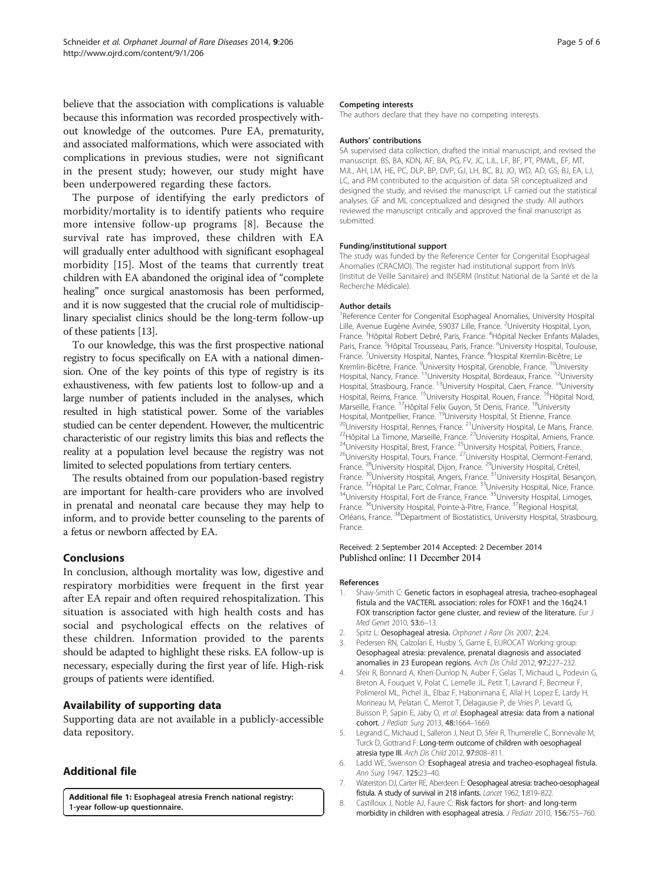<span id="page-4-0"></span>believe that the association with complications is valuable because this information was recorded prospectively without knowledge of the outcomes. Pure EA, prematurity, and associated malformations, which were associated with complications in previous studies, were not significant in the present study; however, our study might have been underpowered regarding these factors.

The purpose of identifying the early predictors of morbidity/mortality is to identify patients who require more intensive follow-up programs [8]. Because the survival rate has improved, these children with EA will gradually enter adulthood with significant esophageal morbidity [[15\]](#page-5-0). Most of the teams that currently treat children with EA abandoned the original idea of "complete healing" once surgical anastomosis has been performed, and it is now suggested that the crucial role of multidisciplinary specialist clinics should be the long-term follow-up of these patients [[13](#page-5-0)].

To our knowledge, this was the first prospective national registry to focus specifically on EA with a national dimension. One of the key points of this type of registry is its exhaustiveness, with few patients lost to follow-up and a large number of patients included in the analyses, which resulted in high statistical power. Some of the variables studied can be center dependent. However, the multicentric characteristic of our registry limits this bias and reflects the reality at a population level because the registry was not limited to selected populations from tertiary centers.

The results obtained from our population-based registry are important for health-care providers who are involved in prenatal and neonatal care because they may help to inform, and to provide better counseling to the parents of a fetus or newborn affected by EA.

# Conclusions

In conclusion, although mortality was low, digestive and respiratory morbidities were frequent in the first year after EA repair and often required rehospitalization. This situation is associated with high health costs and has social and psychological effects on the relatives of these children. Information provided to the parents should be adapted to highlight these risks. EA follow-up is necessary, especially during the first year of life. High-risk groups of patients were identified.

# Availability of supporting data

Supporting data are not available in a publicly-accessible data repository.

# Additional file

[Additional file 1:](http://www.ojrd.com/content/supplementary/s13023-014-0206-5-s1.doc) Esophageal atresia French national registry: 1-year follow-up questionnaire.

#### Competing interests

The authors declare that they have no competing interests.

#### Authors' contributions

SA supervised data collection, drafted the initial manuscript, and revised the manuscript. BS, BA, KDN, AF, BA, PG, FV, JC, LJL, LF, BF, PT, PMML, EF, MT, MJL, AH, LM, HE, PC, DLP, BP, DVP, GJ, LH, BC, BJ, JO, WD, AD, GS, BJ, EA, LJ, LC, and PM contributed to the acquisition of data. SR conceptualized and designed the study, and revised the manuscript. LF carried out the statistical analyses. GF and ML conceptualized and designed the study. All authors reviewed the manuscript critically and approved the final manuscript as submitted.

#### Funding/institutional support

The study was funded by the Reference Center for Congenital Esophageal Anomalies (CRACMO). The register had institutional support from InVs (Institut de Veille Sanitaire) and INSERM (Institut National de la Santé et de la Recherche Médicale).

#### Author details

<sup>1</sup>Reference Center for Congenital Esophageal Anomalies, University Hospital Lille, Avenue Eugène Avinée, 59037 Lille, France. <sup>2</sup>University Hospital, Lyon, France. <sup>3</sup>Hôpital Robert Debré, Paris, France. <sup>4</sup>Hôpital Necker Enfants Malades, Paris, France. <sup>5</sup>Hôpital Trousseau, Paris, France. <sup>6</sup>University Hospital, Toulouse France. <sup>7</sup>University Hospital, Nantes, France. <sup>8</sup>Hospital Kremlin-Bicêtre, Le Kremlin-Bicêtre, France. <sup>9</sup>University Hospital, Grenoble, France. <sup>10</sup>University Hospital, Nancy, France. <sup>11</sup>University Hospital, Bordeaux, France. <sup>12</sup>University Hospital, Strasbourg, France. <sup>13</sup>University Hospital, Caen, France. <sup>14</sup>University Hospital, Reims, France. <sup>15</sup>University Hospital, Rouen, France. <sup>16</sup>Hôpital Nord, Marseille, France. <sup>17</sup>Hôpital Felix Guyon, St Denis, France. <sup>18</sup>University<br>Hospital, Montpellier, France. <sup>19</sup>University Hospital, St Etienne, France. <sup>20</sup>University Hospital, Rennes, France. <sup>21</sup>University Hospital, Le Mans, France. <sup>22</sup>Hôpital La Timone, Marseille, France. <sup>23</sup>University Hospital, Amiens, France. <sup>24</sup>University Hospital, Brest, France. <sup>25</sup>University France. <sup>28</sup>University Hospital, Dijon, France. <sup>29</sup>University Hospital, Créteil, France. <sup>30</sup>University Hospital, Angers, France. <sup>31</sup>University Hospital, Besançon, France. <sup>30</sup>University Hospital, Angers, France. <sup>31</sup>University Hospital, Besançon<br>France. <sup>32</sup>Hôpital Le Parc, Colmar, France. <sup>33</sup>University Hospital, Nice, France.<br><sup>34</sup>University Hospital, Fort de France, France. <sup>35</sup>Un France. <sup>36</sup>University Hospital, Pointe-à-Pitre, France. <sup>37</sup>Regional Hospital, Orléans, France. <sup>38</sup>Department of Biostatistics, University Hospital, Strasbourg, France.

#### Received: 2 September 2014 Accepted: 2 December 2014 Published online: 11 December 2014

#### References

- 1. Shaw-Smith C: Genetic factors in esophageal atresia, tracheo-esophageal fistula and the VACTERL association: roles for FOXF1 and the 16q24.1 FOX transcription factor gene cluster, and review of the literature. Eur J Med Genet 2010, 53:6–13.
- 2. Spitz L: Oesophageal atresia. Orphanet J Rare Dis 2007, 2:24.
- 3. Pedersen RN, Calzolari E, Husby S, Garne E, EUROCAT Working group: Oesophageal atresia: prevalence, prenatal diagnosis and associated anomalies in 23 European regions. Arch Dis Child 2012, 97:227–232.
- 4. Sfeir R, Bonnard A, Khen-Dunlop N, Auber F, Gelas T, Michaud L, Podevin G, Breton A, Fouquet V, Polat C, Lemelle JL, Petit T, Lavrand F, Becmeur F, Polimerol ML, Pichel JL, Elbaz F, Habonimana E, Allal H, Lopez E, Lardy H, Morineau M, Pelatan C, Merrot T, Delagausie P, de Vries P, Levard G, Buisson P, Sapin E, Jaby O, et al: Esophageal atresia: data from a national cohort. J Pediatr Surg 2013, 48:1664–1669.
- 5. Legrand C, Michaud L, Salleron J, Neut D, Sfeir R, Thumerelle C, Bonnevalle M, Turck D, Gottrand F: Long-term outcome of children with oesophageal atresia type III. Arch Dis Child 2012, 97:808–811.
- 6. Ladd WE, Swenson O: Esophageal atresia and tracheo-esophageal fistula. Ann Surg 1947, 125:23–40.
- 7. Waterston DJ, Carter RE, Aberdeen E: Oesophageal atresia: tracheo-oesophageal fistula. A study of survival in 218 infants. Lancet 1962, 1:819-822.
- 8. Castilloux J, Noble AJ, Faure C: Risk factors for short- and long-term morbidity in children with esophageal atresia. J Pediatr 2010, 156:755-760.